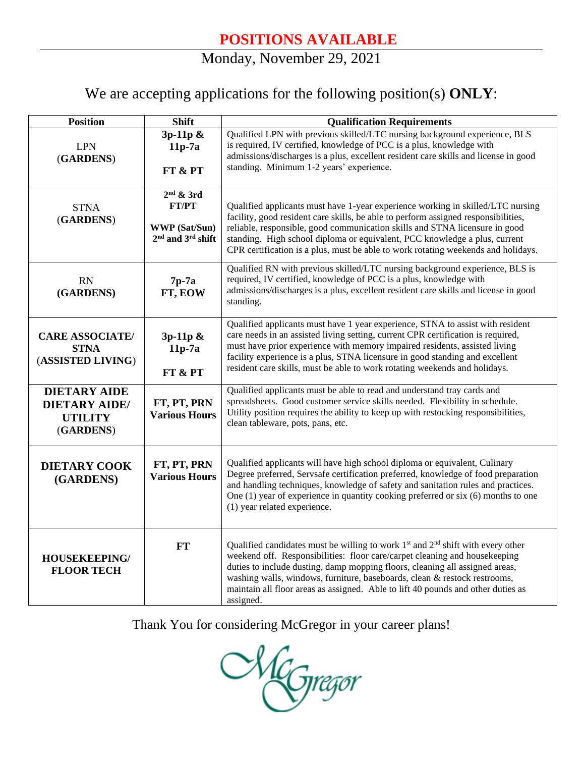## Monday, November 29, 2021

## We are accepting applications for the following position(s) **ONLY**:

| <b>Position</b>                                                            | <b>Shift</b>                                                                 | <b>Qualification Requirements</b>                                                                                                                                                                                                                                                                                                                                                                                               |
|----------------------------------------------------------------------------|------------------------------------------------------------------------------|---------------------------------------------------------------------------------------------------------------------------------------------------------------------------------------------------------------------------------------------------------------------------------------------------------------------------------------------------------------------------------------------------------------------------------|
| <b>LPN</b><br>(GARDENS)                                                    | 3p-11p &<br>$11p-7a$<br>FT & PT                                              | Qualified LPN with previous skilled/LTC nursing background experience, BLS<br>is required, IV certified, knowledge of PCC is a plus, knowledge with<br>admissions/discharges is a plus, excellent resident care skills and license in good<br>standing. Minimum 1-2 years' experience.                                                                                                                                          |
| <b>STNA</b><br>(GARDENS)                                                   | $2nd$ & 3rd<br><b>FT/PT</b><br><b>WWP</b> (Sat/Sun)<br>$2nd$ and $3rd$ shift | Qualified applicants must have 1-year experience working in skilled/LTC nursing<br>facility, good resident care skills, be able to perform assigned responsibilities,<br>reliable, responsible, good communication skills and STNA licensure in good<br>standing. High school diploma or equivalent, PCC knowledge a plus, current<br>CPR certification is a plus, must be able to work rotating weekends and holidays.         |
| <b>RN</b><br>(GARDENS)                                                     | $7p-7a$<br>FT, EOW                                                           | Qualified RN with previous skilled/LTC nursing background experience, BLS is<br>required, IV certified, knowledge of PCC is a plus, knowledge with<br>admissions/discharges is a plus, excellent resident care skills and license in good<br>standing.                                                                                                                                                                          |
| <b>CARE ASSOCIATE/</b><br><b>STNA</b><br>(ASSISTED LIVING)                 | 3p-11p &<br>$11p-7a$<br>FT & PT                                              | Qualified applicants must have 1 year experience, STNA to assist with resident<br>care needs in an assisted living setting, current CPR certification is required,<br>must have prior experience with memory impaired residents, assisted living<br>facility experience is a plus, STNA licensure in good standing and excellent<br>resident care skills, must be able to work rotating weekends and holidays.                  |
| <b>DIETARY AIDE</b><br><b>DIETARY AIDE/</b><br><b>UTILITY</b><br>(GARDENS) | FT, PT, PRN<br><b>Various Hours</b>                                          | Qualified applicants must be able to read and understand tray cards and<br>spreadsheets. Good customer service skills needed. Flexibility in schedule.<br>Utility position requires the ability to keep up with restocking responsibilities,<br>clean tableware, pots, pans, etc.                                                                                                                                               |
| <b>DIETARY COOK</b><br>(GARDENS)                                           | FT, PT, PRN<br><b>Various Hours</b>                                          | Qualified applicants will have high school diploma or equivalent, Culinary<br>Degree preferred, Servsafe certification preferred, knowledge of food preparation<br>and handling techniques, knowledge of safety and sanitation rules and practices.<br>One $(1)$ year of experience in quantity cooking preferred or six $(6)$ months to one<br>(1) year related experience.                                                    |
| HOUSEKEEPING/<br><b>FLOOR TECH</b>                                         | FT                                                                           | Qualified candidates must be willing to work $1st$ and $2nd$ shift with every other<br>weekend off. Responsibilities: floor care/carpet cleaning and housekeeping<br>duties to include dusting, damp mopping floors, cleaning all assigned areas,<br>washing walls, windows, furniture, baseboards, clean & restock restrooms,<br>maintain all floor areas as assigned. Able to lift 40 pounds and other duties as<br>assigned. |

Thank You for considering McGregor in your career plans!

NGregor